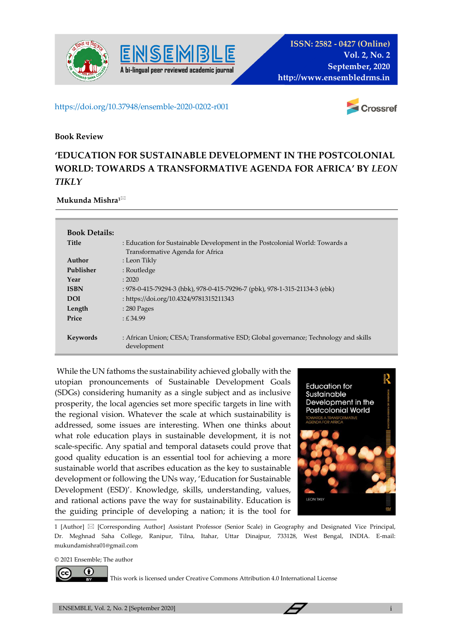



## https://doi.org/10.37948/ensemble-2020-0202-r001

**A bi-lingual peer reviewed academic journal**



## **Book Review**

## **'EDUCATION FOR SUSTAINABLE DEVELOPMENT IN THE POSTCOLONIAL WORLD: TOWARDS A TRANSFORMATIVE AGENDA FOR AFRICA' BY** *LEON TIKLY*

## **Mukunda Mishra1**

| <b>Book Details:</b> |                                                                                                    |
|----------------------|----------------------------------------------------------------------------------------------------|
| <b>Title</b>         | : Education for Sustainable Development in the Postcolonial World: Towards a                       |
|                      | Transformative Agenda for Africa                                                                   |
| Author               | : Leon Tikly                                                                                       |
| Publisher            | : Routledge                                                                                        |
| Year                 | : 2020                                                                                             |
| <b>ISBN</b>          | : 978-0-415-79294-3 (hbk), 978-0-415-79296-7 (pbk), 978-1-315-21134-3 (ebk)                        |
| <b>DOI</b>           | : https://doi.org/10.4324/9781315211343                                                            |
| Length               | $: 280$ Pages                                                                                      |
| Price                | E.34.99                                                                                            |
|                      |                                                                                                    |
| Keywords             | : African Union; CESA; Transformative ESD; Global governance; Technology and skills<br>development |
|                      |                                                                                                    |

While the UN fathoms the sustainability achieved globally with the utopian pronouncements of Sustainable Development Goals (SDGs) considering humanity as a single subject and as inclusive prosperity, the local agencies set more specific targets in line with the regional vision. Whatever the scale at which sustainability is addressed, some issues are interesting. When one thinks about what role education plays in sustainable development, it is not scale-specific. Any spatial and temporal datasets could prove that good quality education is an essential tool for achieving a more sustainable world that ascribes education as the key to sustainable development or following the UNs way, 'Education for Sustainable Development (ESD)'. Knowledge, skills, understanding, values, and rational actions pave the way for sustainability. Education is the guiding principle of developing a nation; it is the tool for



1 [Author]  $\boxtimes$  [Corresponding Author] Assistant Professor (Senior Scale) in Geography and Designated Vice Principal, Dr. Meghnad Saha College, Ranipur, Tilna, Itahar, Uttar Dinajpur, 733128, West Bengal, INDIA. E-mail: mukundamishra01@gmail.com

© 2021 Ensemble; The author



This work is licensed under Creative Commons Attribution 4.0 International License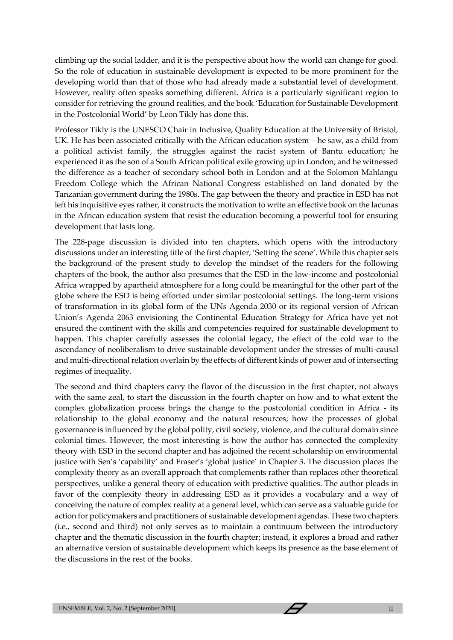climbing up the social ladder, and it is the perspective about how the world can change for good. So the role of education in sustainable development is expected to be more prominent for the developing world than that of those who had already made a substantial level of development. However, reality often speaks something different. Africa is a particularly significant region to consider for retrieving the ground realities, and the book 'Education for Sustainable Development in the Postcolonial World' by Leon Tikly has done this.

Professor Tikly is the UNESCO Chair in Inclusive, Quality Education at the University of Bristol, UK. He has been associated critically with the African education system – he saw, as a child from a political activist family, the struggles against the racist system of Bantu education; he experienced it as the son of a South African political exile growing up in London; and he witnessed the difference as a teacher of secondary school both in London and at the Solomon Mahlangu Freedom College which the African National Congress established on land donated by the Tanzanian government during the 1980s. The gap between the theory and practice in ESD has not left his inquisitive eyes rather, it constructs the motivation to write an effective book on the lacunas in the African education system that resist the education becoming a powerful tool for ensuring development that lasts long.

The 228-page discussion is divided into ten chapters, which opens with the introductory discussions under an interesting title of the first chapter, 'Setting the scene'. While this chapter sets the background of the present study to develop the mindset of the readers for the following chapters of the book, the author also presumes that the ESD in the low-income and postcolonial Africa wrapped by apartheid atmosphere for a long could be meaningful for the other part of the globe where the ESD is being efforted under similar postcolonial settings. The long-term visions of transformation in its global form of the UNs Agenda 2030 or its regional version of African Union's Agenda 2063 envisioning the Continental Education Strategy for Africa have yet not ensured the continent with the skills and competencies required for sustainable development to happen. This chapter carefully assesses the colonial legacy, the effect of the cold war to the ascendancy of neoliberalism to drive sustainable development under the stresses of multi-causal and multi-directional relation overlain by the effects of different kinds of power and of intersecting regimes of inequality.

The second and third chapters carry the flavor of the discussion in the first chapter, not always with the same zeal, to start the discussion in the fourth chapter on how and to what extent the complex globalization process brings the change to the postcolonial condition in Africa - its relationship to the global economy and the natural resources; how the processes of global governance is influenced by the global polity, civil society, violence, and the cultural domain since colonial times. However, the most interesting is how the author has connected the complexity theory with ESD in the second chapter and has adjoined the recent scholarship on environmental justice with Sen's 'capability' and Fraser's 'global justice' in Chapter 3. The discussion places the complexity theory as an overall approach that complements rather than replaces other theoretical perspectives, unlike a general theory of education with predictive qualities. The author pleads in favor of the complexity theory in addressing ESD as it provides a vocabulary and a way of conceiving the nature of complex reality at a general level, which can serve as a valuable guide for action for policymakers and practitioners of sustainable development agendas. These two chapters (i.e., second and third) not only serves as to maintain a continuum between the introductory chapter and the thematic discussion in the fourth chapter; instead, it explores a broad and rather an alternative version of sustainable development which keeps its presence as the base element of the discussions in the rest of the books.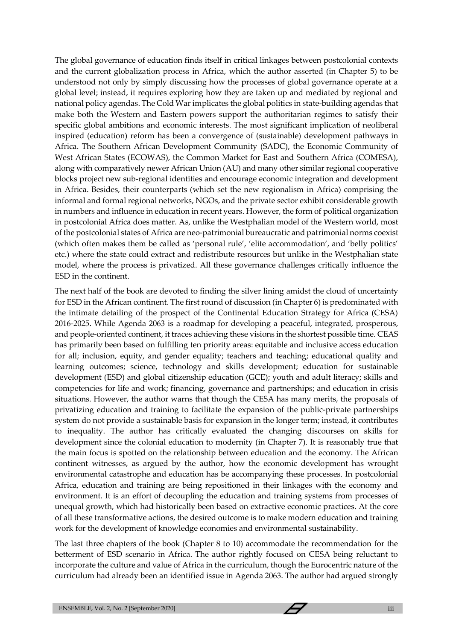The global governance of education finds itself in critical linkages between postcolonial contexts and the current globalization process in Africa, which the author asserted (in Chapter 5) to be understood not only by simply discussing how the processes of global governance operate at a global level; instead, it requires exploring how they are taken up and mediated by regional and national policy agendas. The Cold War implicates the global politics in state-building agendas that make both the Western and Eastern powers support the authoritarian regimes to satisfy their specific global ambitions and economic interests. The most significant implication of neoliberal inspired (education) reform has been a convergence of (sustainable) development pathways in Africa. The Southern African Development Community (SADC), the Economic Community of West African States (ECOWAS), the Common Market for East and Southern Africa (COMESA), along with comparatively newer African Union (AU) and many other similar regional cooperative blocks project new sub-regional identities and encourage economic integration and development in Africa. Besides, their counterparts (which set the new regionalism in Africa) comprising the informal and formal regional networks, NGOs, and the private sector exhibit considerable growth in numbers and influence in education in recent years. However, the form of political organization in postcolonial Africa does matter. As, unlike the Westphalian model of the Western world, most of the postcolonial states of Africa are neo-patrimonial bureaucratic and patrimonial norms coexist (which often makes them be called as 'personal rule', 'elite accommodation', and 'belly politics' etc.) where the state could extract and redistribute resources but unlike in the Westphalian state model, where the process is privatized. All these governance challenges critically influence the ESD in the continent.

The next half of the book are devoted to finding the silver lining amidst the cloud of uncertainty for ESD in the African continent. The first round of discussion (in Chapter 6) is predominated with the intimate detailing of the prospect of the Continental Education Strategy for Africa (CESA) 2016-2025. While Agenda 2063 is a roadmap for developing a peaceful, integrated, prosperous, and people-oriented continent, it traces achieving these visions in the shortest possible time. CEAS has primarily been based on fulfilling ten priority areas: equitable and inclusive access education for all; inclusion, equity, and gender equality; teachers and teaching; educational quality and learning outcomes; science, technology and skills development; education for sustainable development (ESD) and global citizenship education (GCE); youth and adult literacy; skills and competencies for life and work; financing, governance and partnerships; and education in crisis situations. However, the author warns that though the CESA has many merits, the proposals of privatizing education and training to facilitate the expansion of the public-private partnerships system do not provide a sustainable basis for expansion in the longer term; instead, it contributes to inequality. The author has critically evaluated the changing discourses on skills for development since the colonial education to modernity (in Chapter 7). It is reasonably true that the main focus is spotted on the relationship between education and the economy. The African continent witnesses, as argued by the author, how the economic development has wrought environmental catastrophe and education has be accompanying these processes. In postcolonial Africa, education and training are being repositioned in their linkages with the economy and environment. It is an effort of decoupling the education and training systems from processes of unequal growth, which had historically been based on extractive economic practices. At the core of all these transformative actions, the desired outcome is to make modern education and training work for the development of knowledge economies and environmental sustainability.

The last three chapters of the book (Chapter 8 to 10) accommodate the recommendation for the betterment of ESD scenario in Africa. The author rightly focused on CESA being reluctant to incorporate the culture and value of Africa in the curriculum, though the Eurocentric nature of the curriculum had already been an identified issue in Agenda 2063. The author had argued strongly